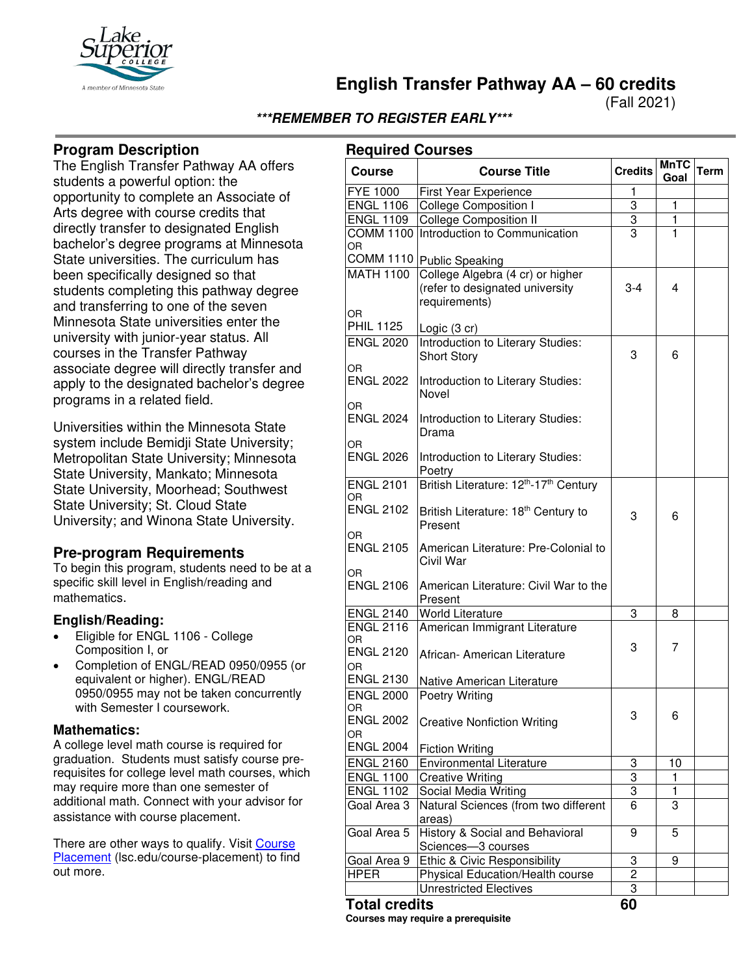

**English Transfer Pathway AA – 60 credits**

(Fall 2021)

# **\*\*\*REMEMBER TO REGISTER EARLY\*\*\***

### **Program Description**

The English Transfer Pathway AA offers students a powerful option: the opportunity to complete an Associate of Arts degree with course credits that directly transfer to designated English bachelor's degree programs at Minnesota State universities. The curriculum has been specifically designed so that students completing this pathway degree and transferring to one of the seven Minnesota State universities enter the university with junior-year status. All courses in the Transfer Pathway associate degree will directly transfer and apply to the designated bachelor's degree programs in a related field.

Universities within the Minnesota State system include Bemidji State University; Metropolitan State University; Minnesota State University, Mankato; Minnesota State University, Moorhead; Southwest State University; St. Cloud State University; and Winona State University.

# **Pre-program Requirements**

To begin this program, students need to be at a specific skill level in English/reading and mathematics.

### **English/Reading:**

- Eligible for ENGL 1106 College Composition I, or
- Completion of ENGL/READ 0950/0955 (or equivalent or higher). ENGL/READ 0950/0955 may not be taken concurrently with Semester I coursework.

#### **Mathematics:**

A college level math course is required for graduation. Students must satisfy course prerequisites for college level math courses, which may require more than one semester of additional math. Connect with your advisor for assistance with course placement.

There are other ways to qualify. Visit Course [Placement](https://www.lsc.edu/course-placement/) (lsc.edu/course-placement) to find out more.

| <b>Required Courses</b>                     |                                                                                      |                |                     |             |
|---------------------------------------------|--------------------------------------------------------------------------------------|----------------|---------------------|-------------|
| <b>Course</b>                               | <b>Course Title</b>                                                                  | <b>Credits</b> | <b>MnTC</b><br>Goal | <b>Term</b> |
| <b>FYE 1000</b>                             | First Year Experience                                                                | 1              |                     |             |
| <b>ENGL 1106</b>                            | <b>College Composition I</b>                                                         | 3              | 1                   |             |
| <b>ENGL 1109</b>                            | <b>College Composition II</b>                                                        | 3              | 1                   |             |
| <b>COMM 1100</b><br>OR                      | Introduction to Communication                                                        | 3              | 1                   |             |
| <b>COMM 1110</b>                            | <b>Public Speaking</b>                                                               |                |                     |             |
| <b>MATH 1100</b><br>OR.                     | College Algebra (4 cr) or higher<br>(refer to designated university<br>requirements) | $3 - 4$        | 4                   |             |
| <b>PHIL 1125</b>                            | Logic (3 cr)                                                                         |                |                     |             |
| <b>ENGL 2020</b>                            | <b>Introduction to Literary Studies:</b><br><b>Short Story</b>                       | 3              | 6                   |             |
| OR<br><b>ENGL 2022</b>                      | Introduction to Literary Studies:<br>Novel                                           |                |                     |             |
| OR.<br><b>ENGL 2024</b><br>OR.              | Introduction to Literary Studies:<br>Drama                                           |                |                     |             |
| <b>ENGL 2026</b>                            | Introduction to Literary Studies:<br>Poetry                                          |                |                     |             |
| <b>ENGL 2101</b><br>OR                      | British Literature: 12 <sup>th</sup> -17 <sup>th</sup> Century                       |                |                     |             |
| <b>ENGL 2102</b>                            | British Literature: 18 <sup>th</sup> Century to<br>Present                           | 3              | 6                   |             |
| OR<br><b>ENGL 2105</b>                      | American Literature: Pre-Colonial to<br>Civil War                                    |                |                     |             |
| OR<br><b>ENGL 2106</b>                      | American Literature: Civil War to the<br>Present                                     |                |                     |             |
| <b>ENGL 2140</b>                            | <b>World Literature</b>                                                              | 3              | 8                   |             |
| <b>ENGL 2116</b><br>OR.<br><b>ENGL 2120</b> | American Immigrant Literature<br>African- American Literature                        | 3              | 7                   |             |
| OR.<br><b>ENGL 2130</b>                     | Native American Literature                                                           |                |                     |             |
| <b>ENGL 2000</b><br>OR<br><b>ENGL 2002</b>  | Poetry Writing<br><b>Creative Nonfiction Writing</b>                                 | 3              | 6                   |             |
| OR<br><b>ENGL 2004</b>                      | <b>Fiction Writing</b>                                                               |                |                     |             |
| <b>ENGL 2160</b>                            | <b>Environmental Literature</b>                                                      | 3              | 10                  |             |
| <b>ENGL 1100</b>                            | <b>Creative Writing</b>                                                              | 3              | 1                   |             |
| <b>ENGL 1102</b>                            | Social Media Writing                                                                 | 3              | 1                   |             |
| Goal Area 3                                 | Natural Sciences (from two different<br>areas)                                       | 6              | 3                   |             |
| Goal Area 5                                 | History & Social and Behavioral<br>Sciences-3 courses                                | 9              | 5                   |             |
| Goal Area 9                                 | Ethic & Civic Responsibility                                                         | 3              | 9                   |             |
| <b>HPER</b>                                 | Physical Education/Health course                                                     | $\overline{c}$ |                     |             |
|                                             | <b>Unrestricted Electives</b>                                                        | 3              |                     |             |
|                                             |                                                                                      | rn.            |                     |             |

# **Total credits 60**

**Courses may require a prerequisite**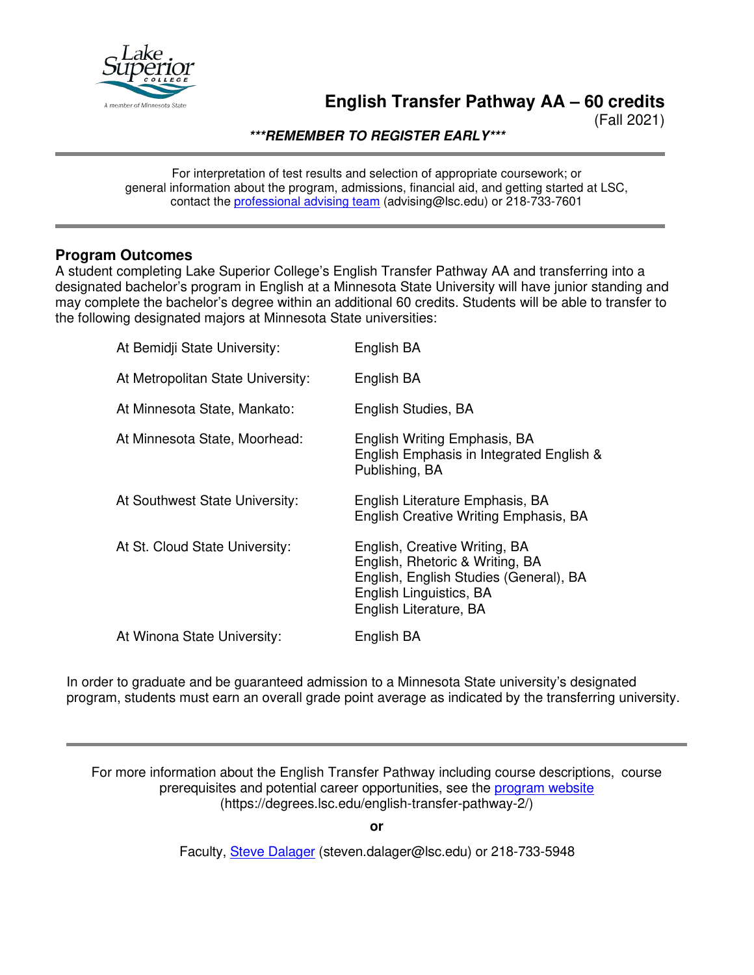

# **English Transfer Pathway AA – 60 credits**

(Fall 2021)

**\*\*\*REMEMBER TO REGISTER EARLY\*\*\***

For interpretation of test results and selection of appropriate coursework; or general information about the program, admissions, financial aid, and getting started at LSC, contact the [professional advising team](mailto:advising@lsc.edu) (advising@lsc.edu) or 218-733-7601

### **Program Outcomes**

A student completing Lake Superior College's English Transfer Pathway AA and transferring into a designated bachelor's program in English at a Minnesota State University will have junior standing and may complete the bachelor's degree within an additional 60 credits. Students will be able to transfer to the following designated majors at Minnesota State universities:

| At Bemidji State University:      | English BA                                                                                                                                                      |
|-----------------------------------|-----------------------------------------------------------------------------------------------------------------------------------------------------------------|
| At Metropolitan State University: | English BA                                                                                                                                                      |
| At Minnesota State, Mankato:      | English Studies, BA                                                                                                                                             |
| At Minnesota State, Moorhead:     | English Writing Emphasis, BA<br>English Emphasis in Integrated English &<br>Publishing, BA                                                                      |
| At Southwest State University:    | English Literature Emphasis, BA<br>English Creative Writing Emphasis, BA                                                                                        |
| At St. Cloud State University:    | English, Creative Writing, BA<br>English, Rhetoric & Writing, BA<br>English, English Studies (General), BA<br>English Linguistics, BA<br>English Literature, BA |
| At Winona State University:       | English BA                                                                                                                                                      |
|                                   |                                                                                                                                                                 |

In order to graduate and be guaranteed admission to a Minnesota State university's designated program, students must earn an overall grade point average as indicated by the transferring university.

For more information about the English Transfer Pathway including course descriptions, course prerequisites and potential career opportunities, see the [program website](https://degrees.lsc.edu/english-transfer-pathway-2/) (https://degrees.lsc.edu/english-transfer-pathway-2/)

**or**

Faculty, [Steve Dalager](mailto:steven.dalager@lsc.edu) (steven.dalager@lsc.edu) or 218-733-5948